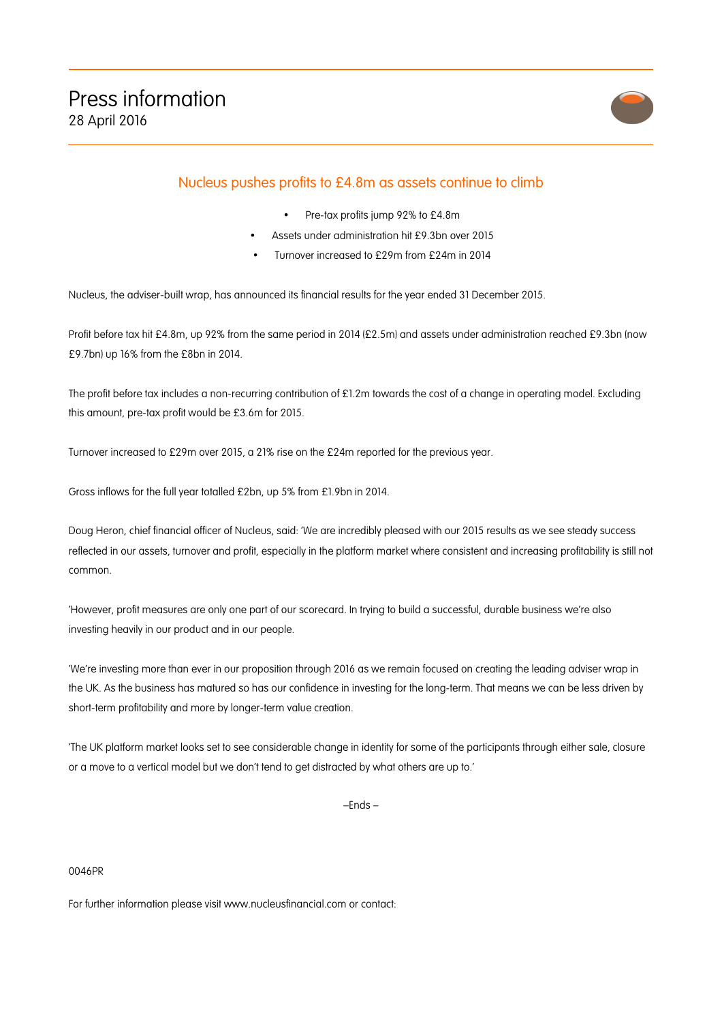

## Nucleus pushes profits to £4.8m as assets continue to climb

- Pre-tax profits jump 92% to £4.8m
- Assets under administration hit £9.3bn over 2015
- Turnover increased to £29m from £24m in 2014

Nucleus, the adviser-built wrap, has announced its financial results for the year ended 31 December 2015.

Profit before tax hit £4.8m, up 92% from the same period in 2014 (£2.5m) and assets under administration reached £9.3bn (now £9.7bn) up 16% from the £8bn in 2014.

The profit before tax includes a non-recurring contribution of £1.2m towards the cost of a change in operating model. Excluding this amount, pre-tax profit would be £3.6m for 2015.

Turnover increased to £29m over 2015, a 21% rise on the £24m reported for the previous year.

Gross inflows for the full year totalled £2bn, up 5% from £1.9bn in 2014.

Doug Heron, chief financial officer of Nucleus, said: 'We are incredibly pleased with our 2015 results as we see steady success reflected in our assets, turnover and profit, especially in the platform market where consistent and increasing profitability is still not common.

'However, profit measures are only one part of our scorecard. In trying to build a successful, durable business we're also investing heavily in our product and in our people.

'We're investing more than ever in our proposition through 2016 as we remain focused on creating the leading adviser wrap in the UK. As the business has matured so has our confidence in investing for the long-term. That means we can be less driven by short-term profitability and more by longer-term value creation.

'The UK platform market looks set to see considerable change in identity for some of the participants through either sale, closure or a move to a vertical model but we don't tend to get distracted by what others are up to.'

–Ends –

## 0046PR

For further information please visit www.nucleusfinancial.com or contact: